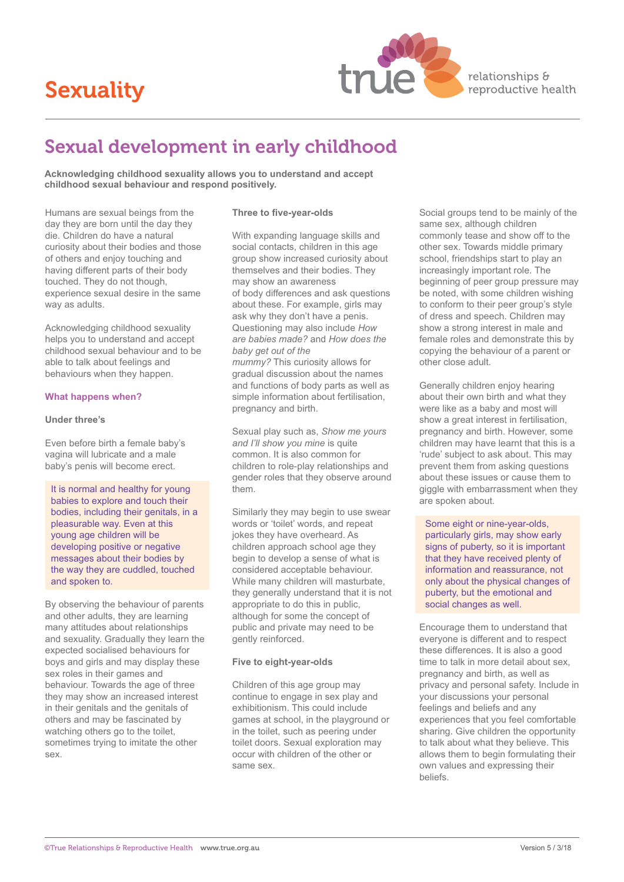# Sexuality



relationships & reproductive health

## Sexual development in early childhood

**Acknowledging childhood sexuality allows you to understand and accept childhood sexual behaviour and respond positively.**

Humans are sexual beings from the **Three to five-year-olds** Social groups tend to be mainly of the day they are born until the day they **Three to five-year-olds** Social groups tend to be mainly of the day they are born until the day they<br>die. Children do have a natural with expanding language skills and curiosity about their bodies and those social contacts, children in this age other sex. Towards middle primary of others and enjoy touching and group show increased curiosity about school, friendships start to play an having different parts of their body themselves and their bodies. They increasingly important role. The experience sexual desire in the same of body differences and ask questions be noted, with some children wishing<br>way as adults. about these. For example, girls may be noted, with some children wishing

### **What happens when?**

It is normal and healthy for young babies to explore and touch their bodies, including their genitals, in a pleasurable way. Even at this

By observing the behaviour of parents appropriate to do this in public,<br>and other adults, they are learning although for some the concept of and other adults, they are learning although for some the concept of many attitudes about relationships public and private may need to be and sexuality. Gradually they learn the gently reinforced. The everyone is different and to respect<br>expected socialised behaviours for<br>expected socialised behaviours for expected socialised behaviours for<br>boys and girls and may display these **these Five to eight-year-olds** time to talk in more detail about sex. boys and girls and may display these sex roles in their games and<br>behaviour. Towards the age of three exactly children of this age group may be privacy and personal safety. Inc they may show an increased interest continue to engage in sex play and your discussions your personal in their genitals and the genitals of exhibitionism. This could include feelings and beliefs and any others and may be fascinated by games at school, in the playground or experiences that you feel comfortable<br>watching others go to the toilet, in the toilet, such as peering under sharing. Give children the opportunity watching others go to the toilet, in the toilet, such as peering under sharing. Give children the opportunity<br>sometimes trying to imitate the other toilet doors. Sexual exploration may to talk about what they believe. This sometimes trying to imitate the other toilet doors. Sexual exploration may to talk about what they believe. This<br>occur with children of the other or allows them to begin formulating their

about these. For example, girls may to conform to their peer group's style<br>ask why they don't have a penis. of dress and speech. Children may Acknowledging childhood sexuality Questioning may also include *How* belos you to understand and accept are *are babies made?* and *How does the* helps you to understand and accept *are babies made?* and *How does the* female roles and demonstrate this by childhood sexual behaviour and to be *baby get out of the* copying the behaviour of a parent or able to talk about feelings and *mummy?* This curiosity allows for other close adult.<br>behaviours when they happen. This curred all discussion about the names gradual discussion about the names and functions of body parts as well as Generally children enjoy hearing simple information about fertilisation. Also about their own birth and what they pregnancy and birth. were like as a baby and most will

Sexual play such as, *Show me yours* pregnancy and birth. However, some and *I'll show you mine* is quite pregnancy children may have learnt that this is a Even before birth a female baby's *and I'll show you mine* is quite children may have learnt that this is a vagina will lubricate and a male common. It is also common for the children may have learnt that this is a vagina will lubricate and a male common. It is also common for "
vagina will lubricate and a male common. It is also common for "
vagina will become erect.

children to role-play relationships and prevent them from asking children to role-play relationships and prevent them from asking questions<br>
onder roles that they observe around about these issues or cause them to gender roles that they observe around about these issues or cause them to<br>them.  $q$  about these issues or cause them the

Similarly they may begin to use swear pleasurable way. Even at this example words or 'toilet' words, and repeat some eight or nine-year-olds, jokes they have overheard. As developing positive or negative strated and children approach school age they signs of puberty, so it is important messages about their bodies by the begin to develop a sense of what is that they have received plenty of considered acceptable behaviour. and spoken to. **Example 20 and Spoken to any children will masturbate,** and spoken to physical changes of they generally understand that it is not young age children will be particularly girls, may show early be particularly girls, may show early the way they are cuddled, touched considered acceptable behaviour. 
information and reassurance, not<br>
information and reassurance, not<br>
While many children will masturbate. 
only about the physical changes of

sex. occur with children of the other or allows them to begin formulating their

commonly tease and show off to the touched. They do not though, how may show an awareness beginning of peer group pressure may of dress and speech. Children may<br>show a strong interest in male and copying the behaviour of a parent or

**Under three's** show a great interest in fertilisation, giggle with embarrassment when they are spoken about.

> puberty, but the emotional and social changes as well.

Encourage them to understand that Children of this age group may example of the children of this age group may privacy and personal safety. Include in own values and expressing their beliefs.